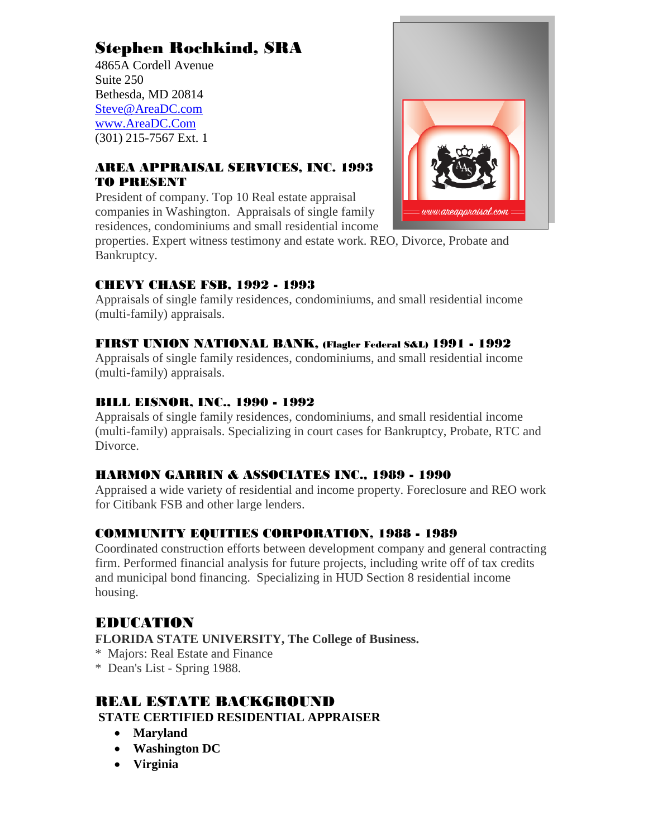### Stephen Rochkind, SRA

4865A Cordell Avenue Suite 250 Bethesda, MD 20814 [Steve@AreaDC.com](mailto:Steve@AreaDC.com) [www.AreaDC.Com](http://www.areadc.com/) (301) 215-7567 Ext. 1

#### AREA APPRAISAL SERVICES, INC. 1993 TO PRESENT

President of company. Top 10 Real estate appraisal companies in Washington. Appraisals of single family residences, condominiums and small residential income

properties. Expert witness testimony and estate work. REO, Divorce, Probate and Bankruptcy.

#### CHEVY CHASE FSB, 1992 - 1993

Appraisals of single family residences, condominiums, and small residential income (multi-family) appraisals.

#### FIRST UNION NATIONAL BANK, (Flagler Federal S&L) 1991 - 1992

Appraisals of single family residences, condominiums, and small residential income (multi-family) appraisals.

#### BILL EISNOR, INC., 1990 - 1992

Appraisals of single family residences, condominiums, and small residential income (multi-family) appraisals. Specializing in court cases for Bankruptcy, Probate, RTC and Divorce.

#### HARMON GARRIN & ASSOCIATES INC., 1989 - 1990

Appraised a wide variety of residential and income property. Foreclosure and REO work for Citibank FSB and other large lenders.

#### COMMUNITY EQUITIES CORPORATION, 1988 - 1989

Coordinated construction efforts between development company and general contracting firm. Performed financial analysis for future projects, including write off of tax credits and municipal bond financing. Specializing in HUD Section 8 residential income housing.

#### EDUCATION

#### **FLORIDA STATE UNIVERSITY, The College of Business.**

- \* Majors: Real Estate and Finance
- \* Dean's List Spring 1988.

#### REAL ESTATE BACKGROUND **STATE CERTIFIED RESIDENTIAL APPRAISER**

- **Maryland**
- **Washington DC**
- **Virginia**

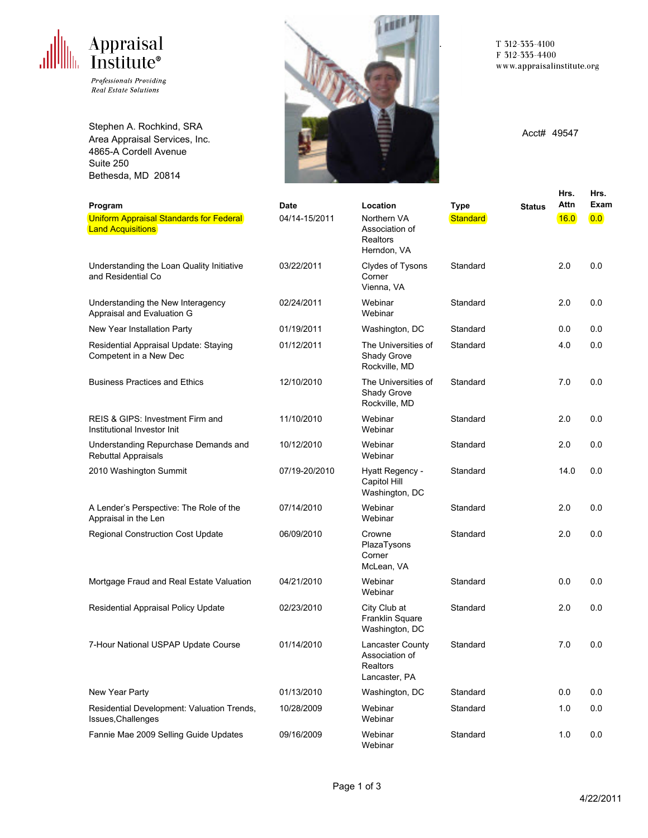# Appraisal<br>Institute®

Professionals Providing **Real Estate Solutions** 

Stephen A. Rochkind, SRA Area Appraisal Services, Inc. 4865-A Cordell Avenue Suite 250 Bethesda, MD 20814



T 312-335-4100 F 312-335-4400 www.appraisalinstitute.org

Acct# 49547

|                                                                     |               |                                                                 |             |               | Hrs.  | Hrs.             |
|---------------------------------------------------------------------|---------------|-----------------------------------------------------------------|-------------|---------------|-------|------------------|
| Program                                                             | Date          | Location                                                        | <b>Type</b> | <b>Status</b> | Attn  | Exam             |
| Uniform Appraisal Standards for Federal<br><b>Land Acquisitions</b> | 04/14-15/2011 | Northern VA<br>Association of<br>Realtors<br>Herndon, VA        | Standard    |               | 16.0  | $\overline{0.0}$ |
| Understanding the Loan Quality Initiative<br>and Residential Co.    | 03/22/2011    | Clydes of Tysons<br>Corner<br>Vienna, VA                        | Standard    |               | 2.0   | 0.0              |
| Understanding the New Interagency<br>Appraisal and Evaluation G     | 02/24/2011    | Webinar<br>Webinar                                              | Standard    |               | 2.0   | 0.0              |
| New Year Installation Party                                         | 01/19/2011    | Washington, DC                                                  | Standard    |               | 0.0   | 0.0              |
| Residential Appraisal Update: Staying<br>Competent in a New Dec     | 01/12/2011    | The Universities of<br>Shady Grove<br>Rockville, MD             | Standard    |               | 4.0   | 0.0              |
| <b>Business Practices and Ethics</b>                                | 12/10/2010    | The Universities of<br>Shady Grove<br>Rockville, MD             | Standard    |               | 7.0   | 0.0              |
| REIS & GIPS: Investment Firm and<br>Institutional Investor Init     | 11/10/2010    | Webinar<br>Webinar                                              | Standard    |               | 2.0   | 0.0              |
| Understanding Repurchase Demands and<br><b>Rebuttal Appraisals</b>  | 10/12/2010    | Webinar<br>Webinar                                              | Standard    |               | 2.0   | 0.0              |
| 2010 Washington Summit                                              | 07/19-20/2010 | Hyatt Regency -<br>Capitol Hill<br>Washington, DC               | Standard    |               | 14.0  | 0.0              |
| A Lender's Perspective: The Role of the<br>Appraisal in the Len     | 07/14/2010    | Webinar<br>Webinar                                              | Standard    |               | 2.0   | 0.0              |
| Regional Construction Cost Update                                   | 06/09/2010    | Crowne<br>PlazaTysons<br>Corner<br>McLean, VA                   | Standard    |               | 2.0   | 0.0              |
| Mortgage Fraud and Real Estate Valuation                            | 04/21/2010    | Webinar<br>Webinar                                              | Standard    |               | 0.0   | 0.0              |
| Residential Appraisal Policy Update                                 | 02/23/2010    | City Club at<br>Franklin Square<br>Washington, DC               | Standard    |               | 2.0   | 0.0              |
| 7-Hour National USPAP Update Course                                 | 01/14/2010    | Lancaster County<br>Association of<br>Realtors<br>Lancaster, PA | Standard    |               | 7.0   | 0.0              |
| New Year Party                                                      | 01/13/2010    | Washington, DC                                                  | Standard    |               | 0.0   | 0.0              |
| Residential Development: Valuation Trends,<br>Issues, Challenges    | 10/28/2009    | Webinar<br>Webinar                                              | Standard    |               | 1.0   | $0.0\,$          |
| Fannie Mae 2009 Selling Guide Updates                               | 09/16/2009    | Webinar<br>Webinar                                              | Standard    |               | $1.0$ | $0.0\,$          |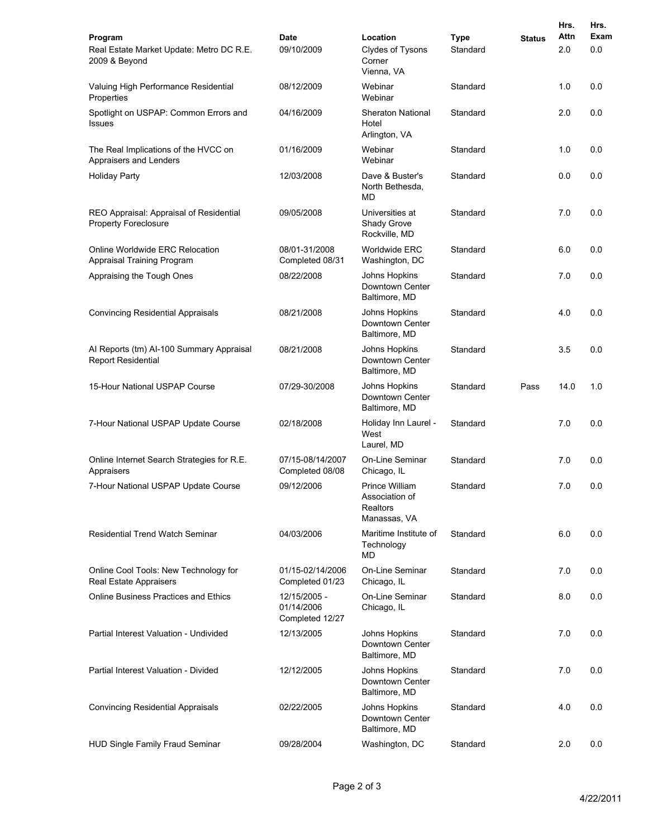|                                                                        |                                               |                                                              |                         |               | Hrs.        | Hrs.        |
|------------------------------------------------------------------------|-----------------------------------------------|--------------------------------------------------------------|-------------------------|---------------|-------------|-------------|
| Program<br>Real Estate Market Update: Metro DC R.E.<br>2009 & Beyond   | Date<br>09/10/2009                            | Location<br>Clydes of Tysons<br>Corner<br>Vienna, VA         | <b>Type</b><br>Standard | <b>Status</b> | Attn<br>2.0 | Exam<br>0.0 |
| Valuing High Performance Residential<br>Properties                     | 08/12/2009                                    | Webinar<br>Webinar                                           | Standard                |               | 1.0         | 0.0         |
| Spotlight on USPAP: Common Errors and<br><b>Issues</b>                 | 04/16/2009                                    | <b>Sheraton National</b><br>Hotel<br>Arlington, VA           | Standard                |               | 2.0         | 0.0         |
| The Real Implications of the HVCC on<br>Appraisers and Lenders         | 01/16/2009                                    | Webinar<br>Webinar                                           | Standard                |               | 1.0         | 0.0         |
| <b>Holiday Party</b>                                                   | 12/03/2008                                    | Dave & Buster's<br>North Bethesda,<br>MD                     | Standard                |               | 0.0         | 0.0         |
| REO Appraisal: Appraisal of Residential<br><b>Property Foreclosure</b> | 09/05/2008                                    | Universities at<br>Shady Grove<br>Rockville, MD              | Standard                |               | 7.0         | 0.0         |
| Online Worldwide ERC Relocation<br>Appraisal Training Program          | 08/01-31/2008<br>Completed 08/31              | Worldwide ERC<br>Washington, DC                              | Standard                |               | 6.0         | 0.0         |
| Appraising the Tough Ones                                              | 08/22/2008                                    | Johns Hopkins<br>Downtown Center<br>Baltimore, MD            | Standard                |               | 7.0         | 0.0         |
| <b>Convincing Residential Appraisals</b>                               | 08/21/2008                                    | Johns Hopkins<br>Downtown Center<br>Baltimore, MD            | Standard                |               | 4.0         | 0.0         |
| Al Reports (tm) Al-100 Summary Appraisal<br><b>Report Residential</b>  | 08/21/2008                                    | Johns Hopkins<br>Downtown Center<br>Baltimore, MD            | Standard                |               | 3.5         | 0.0         |
| 15-Hour National USPAP Course                                          | 07/29-30/2008                                 | Johns Hopkins<br>Downtown Center<br>Baltimore, MD            | Standard                | Pass          | 14.0        | 1.0         |
| 7-Hour National USPAP Update Course                                    | 02/18/2008                                    | Holiday Inn Laurel -<br>West<br>Laurel, MD                   | Standard                |               | 7.0         | 0.0         |
| Online Internet Search Strategies for R.E.<br>Appraisers               | 07/15-08/14/2007<br>Completed 08/08           | <b>On-Line Seminar</b><br>Chicago, IL                        | Standard                |               | 7.0         | 0.0         |
| 7-Hour National USPAP Update Course                                    | 09/12/2006                                    | Prince William<br>Association of<br>Realtors<br>Manassas, VA | Standard                |               | 7.0         | 0.0         |
| Residential Trend Watch Seminar                                        | 04/03/2006                                    | Maritime Institute of<br>Technology<br><b>MD</b>             | Standard                |               | 6.0         | 0.0         |
| Online Cool Tools: New Technology for<br>Real Estate Appraisers        | 01/15-02/14/2006<br>Completed 01/23           | <b>On-Line Seminar</b><br>Chicago, IL                        | Standard                |               | 7.0         | 0.0         |
| <b>Online Business Practices and Ethics</b>                            | 12/15/2005 -<br>01/14/2006<br>Completed 12/27 | On-Line Seminar<br>Chicago, IL                               | Standard                |               | 8.0         | 0.0         |
| Partial Interest Valuation - Undivided                                 | 12/13/2005                                    | Johns Hopkins<br>Downtown Center<br>Baltimore, MD            | Standard                |               | 7.0         | 0.0         |
| Partial Interest Valuation - Divided                                   | 12/12/2005                                    | Johns Hopkins<br>Downtown Center<br>Baltimore, MD            | Standard                |               | 7.0         | 0.0         |
| <b>Convincing Residential Appraisals</b>                               | 02/22/2005                                    | Johns Hopkins<br>Downtown Center<br>Baltimore, MD            | Standard                |               | 4.0         | 0.0         |
| HUD Single Family Fraud Seminar                                        | 09/28/2004                                    | Washington, DC                                               | Standard                |               | 2.0         | 0.0         |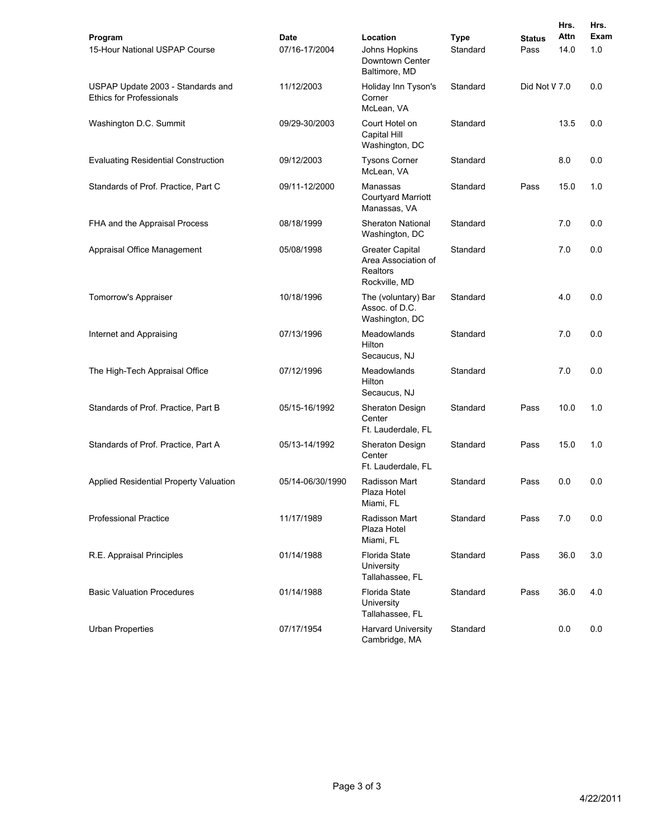| Program                                                              | <b>Date</b>      | Location                                                                          | <b>Type</b> | <b>Status</b> | Hrs.<br>Attn | Hrs.<br>Exam |
|----------------------------------------------------------------------|------------------|-----------------------------------------------------------------------------------|-------------|---------------|--------------|--------------|
| 15-Hour National USPAP Course                                        | 07/16-17/2004    | Johns Hopkins<br>Downtown Center<br>Baltimore, MD                                 | Standard    | Pass          | 14.0         | 1.0          |
| USPAP Update 2003 - Standards and<br><b>Ethics for Professionals</b> | 11/12/2003       | Holiday Inn Tyson's<br>Corner<br>McLean, VA                                       | Standard    | Did Not V 7.0 |              | 0.0          |
| Washington D.C. Summit                                               | 09/29-30/2003    | Court Hotel on<br>Capital Hill<br>Washington, DC                                  | Standard    |               | 13.5         | 0.0          |
| <b>Evaluating Residential Construction</b>                           | 09/12/2003       | <b>Tysons Corner</b><br>McLean, VA                                                | Standard    |               | 8.0          | 0.0          |
| Standards of Prof. Practice, Part C                                  | 09/11-12/2000    | Manassas<br><b>Courtyard Marriott</b><br>Manassas, VA                             | Standard    | Pass          | 15.0         | 1.0          |
| FHA and the Appraisal Process                                        | 08/18/1999       | <b>Sheraton National</b><br>Washington, DC                                        | Standard    |               | 7.0          | 0.0          |
| Appraisal Office Management                                          | 05/08/1998       | <b>Greater Capital</b><br>Area Association of<br><b>Realtors</b><br>Rockville, MD | Standard    |               | 7.0          | 0.0          |
| Tomorrow's Appraiser                                                 | 10/18/1996       | The (voluntary) Bar<br>Assoc. of D.C.<br>Washington, DC                           | Standard    |               | 4.0          | 0.0          |
| Internet and Appraising                                              | 07/13/1996       | Meadowlands<br>Hilton<br>Secaucus, NJ                                             | Standard    |               | 7.0          | 0.0          |
| The High-Tech Appraisal Office                                       | 07/12/1996       | Meadowlands<br>Hilton<br>Secaucus, NJ                                             | Standard    |               | 7.0          | 0.0          |
| Standards of Prof. Practice, Part B                                  | 05/15-16/1992    | Sheraton Design<br>Center<br>Ft. Lauderdale, FL                                   | Standard    | Pass          | 10.0         | 1.0          |
| Standards of Prof. Practice, Part A                                  | 05/13-14/1992    | Sheraton Design<br>Center<br>Ft. Lauderdale, FL                                   | Standard    | Pass          | 15.0         | 1.0          |
| Applied Residential Property Valuation                               | 05/14-06/30/1990 | Radisson Mart<br>Plaza Hotel<br>Miami, FL                                         | Standard    | Pass          | 0.0          | 0.0          |
| <b>Professional Practice</b>                                         | 11/17/1989       | Radisson Mart<br>Plaza Hotel<br>Miami, FL                                         | Standard    | Pass          | 7.0          | 0.0          |
| R.E. Appraisal Principles                                            | 01/14/1988       | Florida State<br>University<br>Tallahassee, FL                                    | Standard    | Pass          | 36.0         | 3.0          |
| <b>Basic Valuation Procedures</b>                                    | 01/14/1988       | <b>Florida State</b><br>University<br>Tallahassee, FL                             | Standard    | Pass          | 36.0         | 4.0          |
| <b>Urban Properties</b>                                              | 07/17/1954       | <b>Harvard University</b><br>Cambridge, MA                                        | Standard    |               | 0.0          | 0.0          |